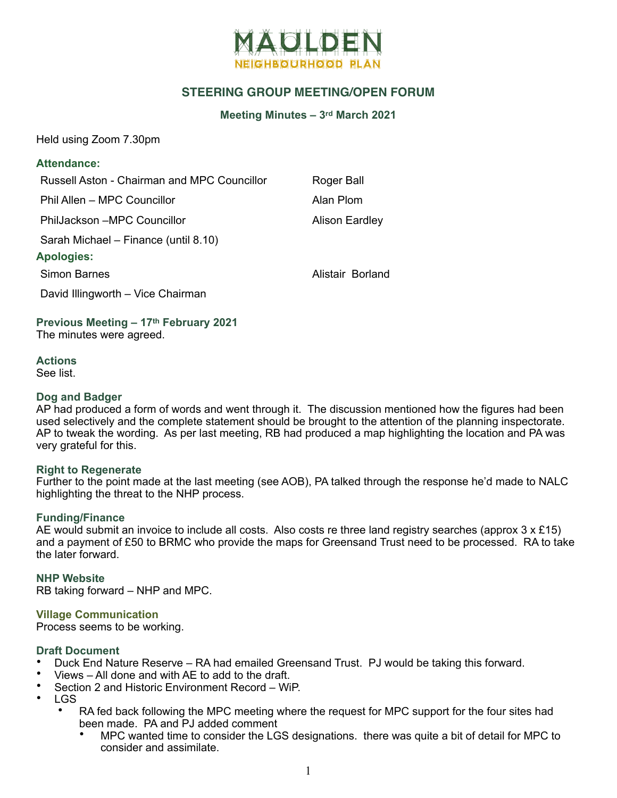

# **STEERING GROUP MEETING/OPEN FORUM**

#### **Meeting Minutes – 3rd March 2021**

Held using Zoom 7.30pm

### **Attendance:**

Russell Aston - Chairman and MPC Councillor Roger Ball

Phil Allen – MPC Councillor **Alan Plom** 

PhilJackson –MPC Councillor **Alison Eardley** Alison Eardley

Sarah Michael – Finance (until 8.10)

### **Apologies:**

Simon Barnes **Alistair Borland** 

David Illingworth – Vice Chairman

**Previous Meeting – 17th February 2021** The minutes were agreed.

**Actions** See list.

### **Dog and Badger**

AP had produced a form of words and went through it. The discussion mentioned how the figures had been used selectively and the complete statement should be brought to the attention of the planning inspectorate. AP to tweak the wording. As per last meeting, RB had produced a map highlighting the location and PA was very grateful for this.

#### **Right to Regenerate**

Further to the point made at the last meeting (see AOB), PA talked through the response he'd made to NALC highlighting the threat to the NHP process.

# **Funding/Finance**

AE would submit an invoice to include all costs. Also costs re three land registry searches (approx  $3 \times £15$ ) and a payment of £50 to BRMC who provide the maps for Greensand Trust need to be processed. RA to take the later forward.

**NHP Website** RB taking forward – NHP and MPC.

# **Village Communication**

Process seems to be working.

#### **Draft Document**

- Duck End Nature Reserve RA had emailed Greensand Trust. PJ would be taking this forward.
- Views All done and with AE to add to the draft.
- Section 2 and Historic Environment Record WiP.
- LGS
	- RA fed back following the MPC meeting where the request for MPC support for the four sites had been made. PA and PJ added comment
		- MPC wanted time to consider the LGS designations. there was quite a bit of detail for MPC to consider and assimilate.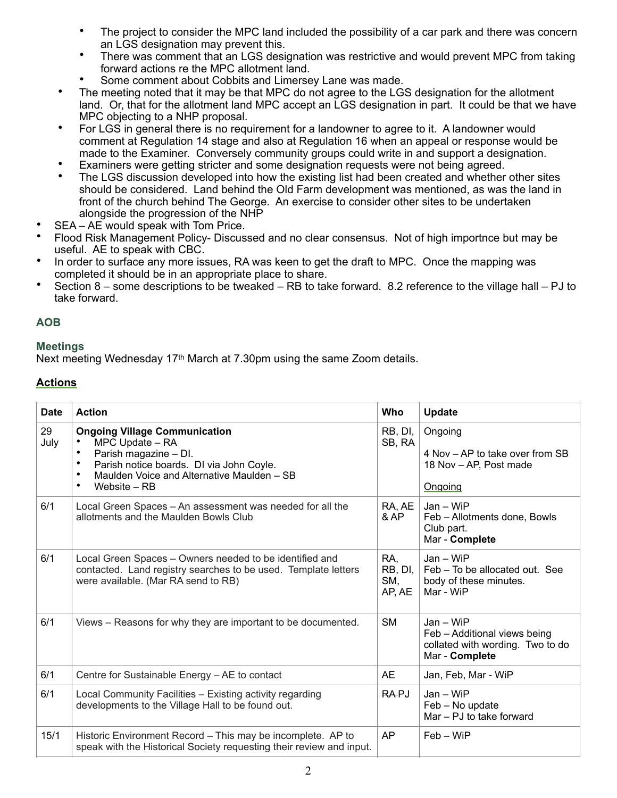- The project to consider the MPC land included the possibility of a car park and there was concern an LGS designation may prevent this.
- There was comment that an LGS designation was restrictive and would prevent MPC from taking forward actions re the MPC allotment land.
- Some comment about Cobbits and Limersey Lane was made.
- The meeting noted that it may be that MPC do not agree to the LGS designation for the allotment land. Or, that for the allotment land MPC accept an LGS designation in part. It could be that we have MPC objecting to a NHP proposal.
- For LGS in general there is no requirement for a landowner to agree to it. A landowner would comment at Regulation 14 stage and also at Regulation 16 when an appeal or response would be made to the Examiner. Conversely community groups could write in and support a designation.
- Examiners were getting stricter and some designation requests were not being agreed.
- The LGS discussion developed into how the existing list had been created and whether other sites should be considered. Land behind the Old Farm development was mentioned, as was the land in front of the church behind The George. An exercise to consider other sites to be undertaken alongside the progression of the NHP
- SEA AE would speak with Tom Price.
- Flood Risk Management Policy- Discussed and no clear consensus. Not of high importnce but may be useful. AE to speak with CBC.
- In order to surface any more issues, RA was keen to get the draft to MPC. Once the mapping was completed it should be in an appropriate place to share.
- Section 8 some descriptions to be tweaked RB to take forward. 8.2 reference to the village hall PJ to take forward.

# **AOB**

# **Meetings**

Next meeting Wednesday 17th March at 7.30pm using the same Zoom details.

# **Actions**

| <b>Date</b> | <b>Action</b>                                                                                                                                                                                                                     | Who                             | <b>Update</b>                                                                                   |
|-------------|-----------------------------------------------------------------------------------------------------------------------------------------------------------------------------------------------------------------------------------|---------------------------------|-------------------------------------------------------------------------------------------------|
| 29<br>July  | <b>Ongoing Village Communication</b><br>MPC Update - RA<br>Parish magazine - DI.<br>Parish notice boards. DI via John Coyle.<br>$\bullet$<br>Maulden Voice and Alternative Maulden - SB<br>$\bullet$<br>Website – RB<br>$\bullet$ | RB, DI,<br>SB, RA               | Ongoing<br>4 Nov - AP to take over from SB<br>18 Nov - AP, Post made<br>Ongoing                 |
| 6/1         | Local Green Spaces - An assessment was needed for all the<br>allotments and the Maulden Bowls Club                                                                                                                                | RA, AE<br>& AP                  | $Jan - WiFi$<br>Feb - Allotments done, Bowls<br>Club part.<br>Mar - Complete                    |
| 6/1         | Local Green Spaces - Owners needed to be identified and<br>contacted. Land registry searches to be used. Template letters<br>were available. (Mar RA send to RB)                                                                  | RA,<br>RB, DI,<br>SM,<br>AP, AE | Jan - WiP<br>Feb – To be allocated out. See<br>body of these minutes.<br>Mar - WiP              |
| 6/1         | Views – Reasons for why they are important to be documented.                                                                                                                                                                      | <b>SM</b>                       | Jan - WiP<br>Feb - Additional views being<br>collated with wording. Two to do<br>Mar - Complete |
| 6/1         | Centre for Sustainable Energy - AE to contact                                                                                                                                                                                     | AE                              | Jan, Feb, Mar - WiP                                                                             |
| 6/1         | Local Community Facilities - Existing activity regarding<br>developments to the Village Hall to be found out.                                                                                                                     | RA-PJ                           | Jan - WiP<br>Feb - No update<br>Mar - PJ to take forward                                        |
| 15/1        | Historic Environment Record - This may be incomplete. AP to<br>speak with the Historical Society requesting their review and input.                                                                                               | AP                              | Feb - WiP                                                                                       |